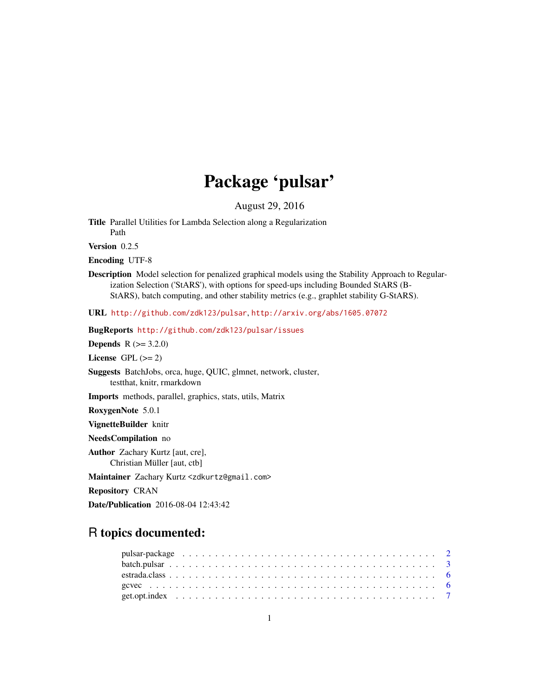# Package 'pulsar'

August 29, 2016

<span id="page-0-0"></span>Title Parallel Utilities for Lambda Selection along a Regularization Path

Version 0.2.5

Encoding UTF-8

Description Model selection for penalized graphical models using the Stability Approach to Regularization Selection ('StARS'), with options for speed-ups including Bounded StARS (B-StARS), batch computing, and other stability metrics (e.g., graphlet stability G-StARS).

URL <http://github.com/zdk123/pulsar>, <http://arxiv.org/abs/1605.07072>

BugReports <http://github.com/zdk123/pulsar/issues>

**Depends**  $R (= 3.2.0)$ 

License GPL  $(>= 2)$ 

Suggests BatchJobs, orca, huge, QUIC, glmnet, network, cluster, testthat, knitr, rmarkdown

Imports methods, parallel, graphics, stats, utils, Matrix

RoxygenNote 5.0.1

VignetteBuilder knitr

NeedsCompilation no

Author Zachary Kurtz [aut, cre], Christian Müller [aut, ctb]

Maintainer Zachary Kurtz <zdkurtz@gmail.com>

Repository CRAN

Date/Publication 2016-08-04 12:43:42

# R topics documented: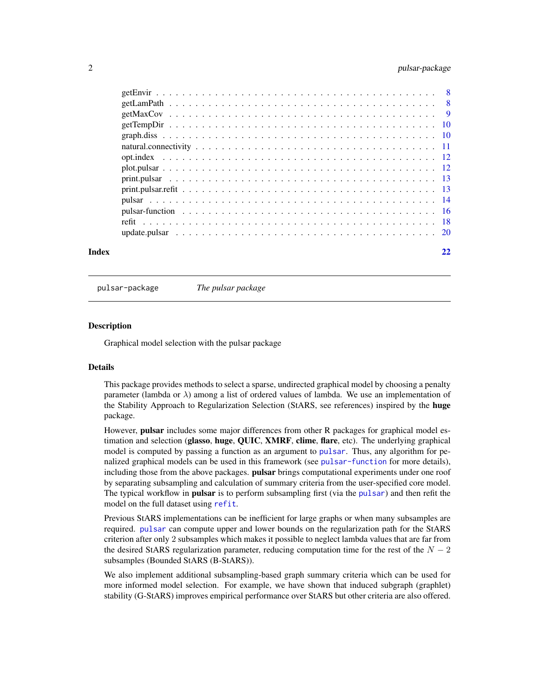# <span id="page-1-0"></span>2 pulsar-package pulsar-package pulsar-package pulsar-package pulsar-package pulsar-package pulsar-package pulsar-package pulsar-package pulsar-package pulsar-package pulsar-package pulsar-package pulsar-package pulsar-pac

| Index | 22 |
|-------|----|
|       |    |
|       |    |
|       |    |
|       |    |
|       |    |
|       |    |
|       |    |
|       |    |
|       |    |
|       |    |
|       |    |
|       |    |
|       |    |
|       |    |

pulsar-package *The pulsar package*

# **Description**

Graphical model selection with the pulsar package

# Details

This package provides methods to select a sparse, undirected graphical model by choosing a penalty parameter (lambda or  $\lambda$ ) among a list of ordered values of lambda. We use an implementation of the Stability Approach to Regularization Selection (StARS, see references) inspired by the huge package.

However, pulsar includes some major differences from other R packages for graphical model estimation and selection (glasso, huge, QUIC, XMRF, clime, flare, etc). The underlying graphical model is computed by passing a function as an argument to [pulsar](#page-13-1). Thus, any algorithm for penalized graphical models can be used in this framework (see [pulsar-function](#page-15-1) for more details), including those from the above packages. **pulsar** brings computational experiments under one roof by separating subsampling and calculation of summary criteria from the user-specified core model. The typical workflow in **[pulsar](#page-13-1)** is to perform subsampling first (via the pulsar) and then refit the model on the full dataset using [refit](#page-17-1).

Previous StARS implementations can be inefficient for large graphs or when many subsamples are required. [pulsar](#page-13-1) can compute upper and lower bounds on the regularization path for the StARS criterion after only 2 subsamples which makes it possible to neglect lambda values that are far from the desired StARS regularization parameter, reducing computation time for the rest of the  $N-2$ subsamples (Bounded StARS (B-StARS)).

We also implement additional subsampling-based graph summary criteria which can be used for more informed model selection. For example, we have shown that induced subgraph (graphlet) stability (G-StARS) improves empirical performance over StARS but other criteria are also offered.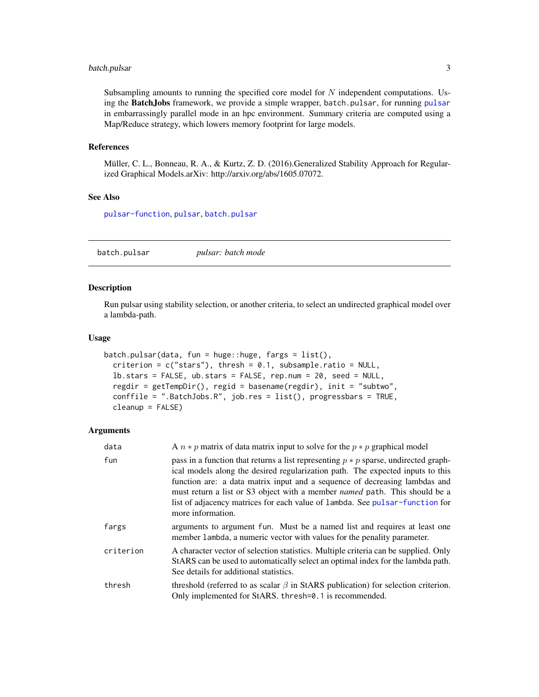### <span id="page-2-0"></span>batch.pulsar 3

Subsampling amounts to running the specified core model for  $N$  independent computations. Using the BatchJobs framework, we provide a simple wrapper, batch.[pulsar](#page-13-1), for running pulsar in embarrassingly parallel mode in an hpc environment. Summary criteria are computed using a Map/Reduce strategy, which lowers memory footprint for large models.

#### References

Müller, C. L., Bonneau, R. A., & Kurtz, Z. D. (2016).Generalized Stability Approach for Regularized Graphical Models.arXiv: http://arxiv.org/abs/1605.07072.

#### See Also

[pulsar-function](#page-15-1), [pulsar](#page-13-1), [batch.pulsar](#page-2-1)

<span id="page-2-1"></span>batch.pulsar *pulsar: batch mode*

#### Description

Run pulsar using stability selection, or another criteria, to select an undirected graphical model over a lambda-path.

#### Usage

```
batch.pulsar(data, fun = huge::huge, fargs = list(),
  criterion = c("stars"), thresh = 0.1, subsample.ratio = NULL,
  lb.stars = FALSE, ub.stars = FALSE, rep.num = 20, seed = NULL,
  regdir = getTempDir(), regid = basename(regdir), init = "subtwo",
  conffile = ".BatchJobs.R", job.res = list(), progressbars = TRUE,
  cleanup = FALSE)
```

| data      | A $n * p$ matrix of data matrix input to solve for the $p * p$ graphical model                                                                                                                                                                                                                                                                                                                                                                  |
|-----------|-------------------------------------------------------------------------------------------------------------------------------------------------------------------------------------------------------------------------------------------------------------------------------------------------------------------------------------------------------------------------------------------------------------------------------------------------|
| fun       | pass in a function that returns a list representing $p * p$ sparse, undirected graph-<br>ical models along the desired regularization path. The expected inputs to this<br>function are: a data matrix input and a sequence of decreasing lambdas and<br>must return a list or S3 object with a member <i>named</i> path. This should be a<br>list of adjacency matrices for each value of lambda. See pulsar-function for<br>more information. |
| fargs     | arguments to argument fun. Must be a named list and requires at least one<br>member lambda, a numeric vector with values for the penality parameter.                                                                                                                                                                                                                                                                                            |
| criterion | A character vector of selection statistics. Multiple criteria can be supplied. Only<br>StARS can be used to automatically select an optimal index for the lambda path.<br>See details for additional statistics.                                                                                                                                                                                                                                |
| thresh    | threshold (referred to as scalar $\beta$ in StARS publication) for selection criterion.<br>Only implemented for StARS. thresh=0.1 is recommended.                                                                                                                                                                                                                                                                                               |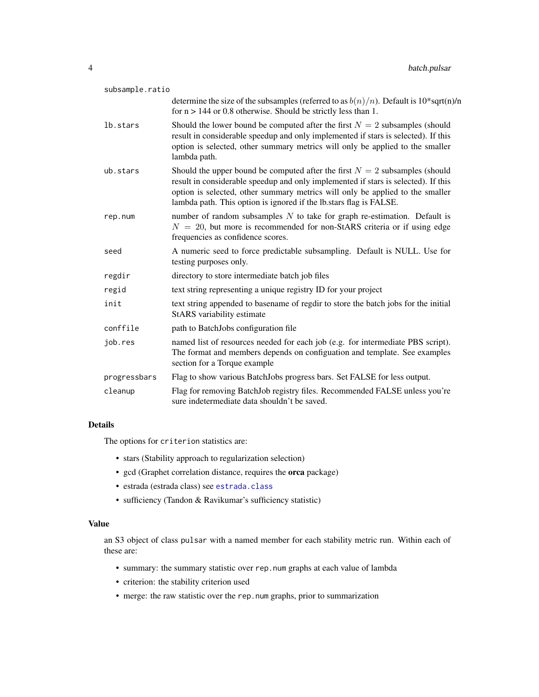<span id="page-3-0"></span>

| subsample.ratio |                                                                                                                                                                                                                                                                                                                            |
|-----------------|----------------------------------------------------------------------------------------------------------------------------------------------------------------------------------------------------------------------------------------------------------------------------------------------------------------------------|
|                 | determine the size of the subsamples (referred to as $b(n)/n$ ). Default is 10*sqrt(n)/n<br>for $n > 144$ or 0.8 otherwise. Should be strictly less than 1.                                                                                                                                                                |
| lb.stars        | Should the lower bound be computed after the first $N = 2$ subsamples (should<br>result in considerable speedup and only implemented if stars is selected). If this<br>option is selected, other summary metrics will only be applied to the smaller<br>lambda path.                                                       |
| ub.stars        | Should the upper bound be computed after the first $N = 2$ subsamples (should<br>result in considerable speedup and only implemented if stars is selected). If this<br>option is selected, other summary metrics will only be applied to the smaller<br>lambda path. This option is ignored if the lb.stars flag is FALSE. |
| rep.num         | number of random subsamples $N$ to take for graph re-estimation. Default is<br>$N = 20$ , but more is recommended for non-StARS criteria or if using edge<br>frequencies as confidence scores.                                                                                                                             |
| seed            | A numeric seed to force predictable subsampling. Default is NULL. Use for<br>testing purposes only.                                                                                                                                                                                                                        |
| regdir          | directory to store intermediate batch job files                                                                                                                                                                                                                                                                            |
| regid           | text string representing a unique registry ID for your project                                                                                                                                                                                                                                                             |
| init            | text string appended to basename of regdir to store the batch jobs for the initial<br>StARS variability estimate                                                                                                                                                                                                           |
| conffile        | path to BatchJobs configuration file                                                                                                                                                                                                                                                                                       |
| job.res         | named list of resources needed for each job (e.g. for intermediate PBS script).<br>The format and members depends on configuation and template. See examples<br>section for a Torque example                                                                                                                               |
| progressbars    | Flag to show various BatchJobs progress bars. Set FALSE for less output.                                                                                                                                                                                                                                                   |
| cleanup         | Flag for removing BatchJob registry files. Recommended FALSE unless you're<br>sure indetermediate data shouldn't be saved.                                                                                                                                                                                                 |

# Details

The options for criterion statistics are:

- stars (Stability approach to regularization selection)
- gcd (Graphet correlation distance, requires the orca package)
- estrada (estrada class) see [estrada.class](#page-5-1)
- sufficiency (Tandon & Ravikumar's sufficiency statistic)

# Value

an S3 object of class pulsar with a named member for each stability metric run. Within each of these are:

- summary: the summary statistic over rep.num graphs at each value of lambda
- criterion: the stability criterion used
- merge: the raw statistic over the rep.num graphs, prior to summarization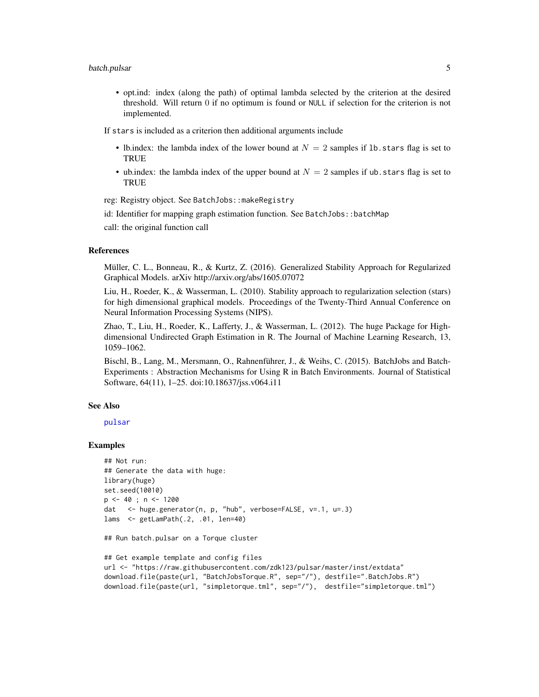<span id="page-4-0"></span>• opt.ind: index (along the path) of optimal lambda selected by the criterion at the desired threshold. Will return 0 if no optimum is found or NULL if selection for the criterion is not implemented.

If stars is included as a criterion then additional arguments include

- lb.index: the lambda index of the lower bound at  $N = 2$  samples if 1b. stars flag is set to **TRUE**
- ub.index: the lambda index of the upper bound at  $N = 2$  samples if ub. stars flag is set to TRUE

reg: Registry object. See BatchJobs::makeRegistry

id: Identifier for mapping graph estimation function. See BatchJobs::batchMap

call: the original function call

#### References

Müller, C. L., Bonneau, R., & Kurtz, Z. (2016). Generalized Stability Approach for Regularized Graphical Models. arXiv http://arxiv.org/abs/1605.07072

Liu, H., Roeder, K., & Wasserman, L. (2010). Stability approach to regularization selection (stars) for high dimensional graphical models. Proceedings of the Twenty-Third Annual Conference on Neural Information Processing Systems (NIPS).

Zhao, T., Liu, H., Roeder, K., Lafferty, J., & Wasserman, L. (2012). The huge Package for Highdimensional Undirected Graph Estimation in R. The Journal of Machine Learning Research, 13, 1059–1062.

Bischl, B., Lang, M., Mersmann, O., Rahnenführer, J., & Weihs, C. (2015). BatchJobs and Batch-Experiments : Abstraction Mechanisms for Using R in Batch Environments. Journal of Statistical Software, 64(11), 1–25. doi:10.18637/jss.v064.i11

#### See Also

[pulsar](#page-13-1)

#### Examples

```
## Not run:
## Generate the data with huge:
library(huge)
set.seed(10010)
p \le -40; n \le -1200dat <- huge.generator(n, p, "hub", verbose=FALSE, v=.1, u=.3)
lams <- getLamPath(.2, .01, len=40)
```
## Run batch.pulsar on a Torque cluster

```
## Get example template and config files
url <- "https://raw.githubusercontent.com/zdk123/pulsar/master/inst/extdata"
download.file(paste(url, "BatchJobsTorque.R", sep="/"), destfile=".BatchJobs.R")
download.file(paste(url, "simpletorque.tml", sep="/"), destfile="simpletorque.tml")
```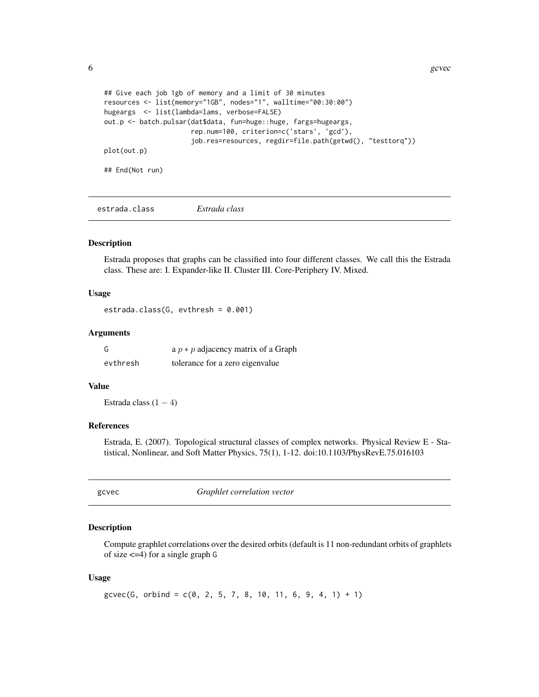<span id="page-5-0"></span>6 gcvec

```
## Give each job 1gb of memory and a limit of 30 minutes
resources <- list(memory="1GB", nodes="1", walltime="00:30:00")
hugeargs <- list(lambda=lams, verbose=FALSE)
out.p <- batch.pulsar(dat$data, fun=huge::huge, fargs=hugeargs,
                      rep.num=100, criterion=c('stars', 'gcd'),
                      job.res=resources, regdir=file.path(getwd(), "testtorq"))
plot(out.p)
## End(Not run)
```
<span id="page-5-1"></span>estrada.class *Estrada class*

#### Description

Estrada proposes that graphs can be classified into four different classes. We call this the Estrada class. These are: I. Expander-like II. Cluster III. Core-Periphery IV. Mixed.

#### Usage

estrada.class(G, evthresh = 0.001)

# Arguments

| G        | a $p * p$ adjacency matrix of a Graph |
|----------|---------------------------------------|
| evthresh | tolerance for a zero eigenvalue       |

#### Value

Estrada class  $(1 - 4)$ 

# References

Estrada, E. (2007). Topological structural classes of complex networks. Physical Review E - Statistical, Nonlinear, and Soft Matter Physics, 75(1), 1-12. doi:10.1103/PhysRevE.75.016103

<span id="page-5-2"></span>

| I |
|---|
|---|

c Graphlet *correlation vector* 

### Description

Compute graphlet correlations over the desired orbits (default is 11 non-redundant orbits of graphlets of size <=4) for a single graph G

#### Usage

```
g\text{cvec}(G, \text{ orbital} = c(0, 2, 5, 7, 8, 10, 11, 6, 9, 4, 1) + 1)
```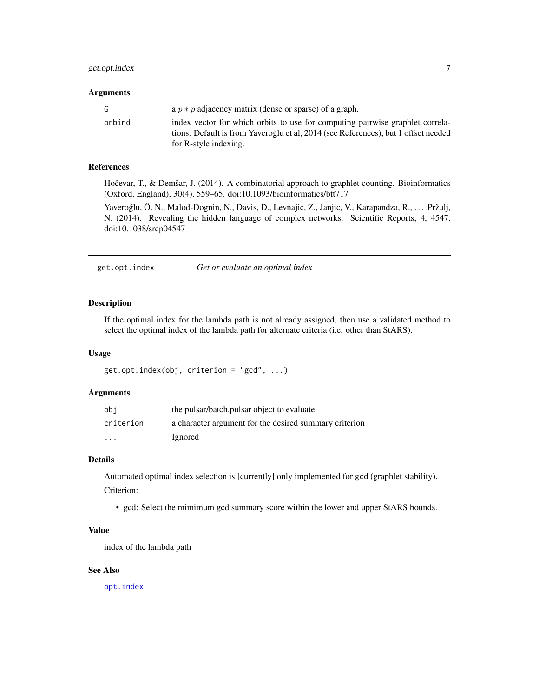# <span id="page-6-0"></span>get.opt.index 7

#### **Arguments**

| G      | a $p * p$ adjacency matrix (dense or sparse) of a graph.                                                                                                            |
|--------|---------------------------------------------------------------------------------------------------------------------------------------------------------------------|
| orbind | index vector for which orbits to use for computing pairwise graphlet correla-<br>tions. Default is from Yaveroğlu et al, 2014 (see References), but 1 offset needed |
|        | for R-style indexing.                                                                                                                                               |

#### References

Hočevar, T., & Demšar, J. (2014). A combinatorial approach to graphlet counting. Bioinformatics (Oxford, England), 30(4), 559–65. doi:10.1093/bioinformatics/btt717

Yaveroğlu, Ö. N., Malod-Dognin, N., Davis, D., Levnajic, Z., Janjic, V., Karapandza, R., ... Pržulj, N. (2014). Revealing the hidden language of complex networks. Scientific Reports, 4, 4547. doi:10.1038/srep04547

<span id="page-6-1"></span>get.opt.index *Get or evaluate an optimal index*

# Description

If the optimal index for the lambda path is not already assigned, then use a validated method to select the optimal index of the lambda path for alternate criteria (i.e. other than StARS).

### Usage

```
get.opt.index(obj, criterion = "gcd", ...)
```
# Arguments

| obi                     | the pulsar/batch.pulsar object to evaluate             |
|-------------------------|--------------------------------------------------------|
| criterion               | a character argument for the desired summary criterion |
| $\cdot$ $\cdot$ $\cdot$ | Ignored                                                |

#### Details

Automated optimal index selection is [currently] only implemented for gcd (graphlet stability). Criterion:

• gcd: Select the mimimum gcd summary score within the lower and upper StARS bounds.

#### Value

index of the lambda path

#### See Also

[opt.index](#page-11-1)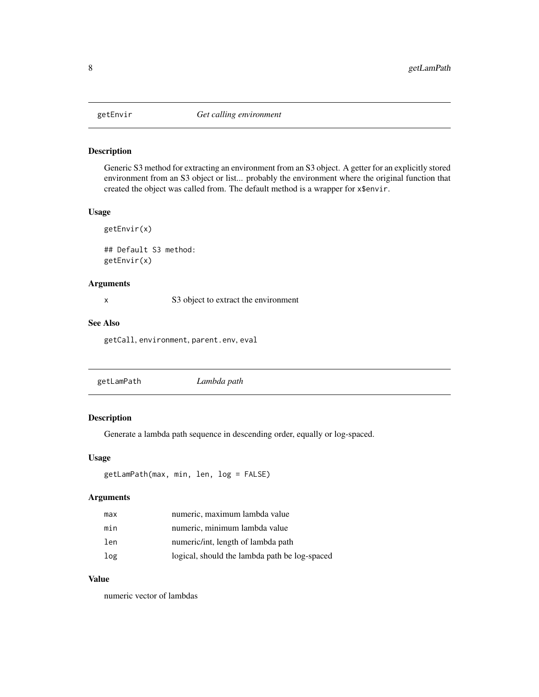<span id="page-7-0"></span>

Generic S3 method for extracting an environment from an S3 object. A getter for an explicitly stored environment from an S3 object or list... probably the environment where the original function that created the object was called from. The default method is a wrapper for x\$envir.

#### Usage

getEnvir(x) ## Default S3 method: getEnvir(x)

#### Arguments

x S3 object to extract the environment

#### See Also

getCall, environment, parent.env, eval

<span id="page-7-1"></span>

|--|--|

# Description

Generate a lambda path sequence in descending order, equally or log-spaced.

#### Usage

```
getLamPath(max, min, len, log = FALSE)
```
#### Arguments

| max | numeric, maximum lambda value                 |
|-----|-----------------------------------------------|
| min | numeric, minimum lambda value                 |
| len | numeric/int, length of lambda path            |
| log | logical, should the lambda path be log-spaced |

# Value

numeric vector of lambdas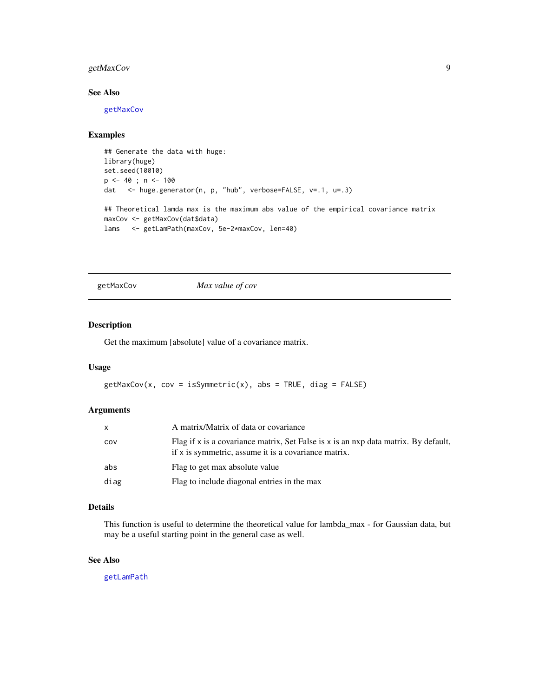# <span id="page-8-0"></span>getMaxCov 9

# See Also

[getMaxCov](#page-8-1)

# Examples

```
## Generate the data with huge:
library(huge)
set.seed(10010)
p \le -40; n \le -100dat <- huge.generator(n, p, "hub", verbose=FALSE, v=.1, u=.3)
## Theoretical lamda max is the maximum abs value of the empirical covariance matrix
maxCov <- getMaxCov(dat$data)
lams <- getLamPath(maxCov, 5e-2*maxCov, len=40)
```
<span id="page-8-1"></span>getMaxCov *Max value of cov*

# Description

Get the maximum [absolute] value of a covariance matrix.

# Usage

```
getMaxCov(x, cov = isSymmetric(x), abs = TRUE, diag = FALSE)
```
# Arguments

| $\mathsf{x}$ | A matrix/Matrix of data or covariance                                                                                                             |
|--------------|---------------------------------------------------------------------------------------------------------------------------------------------------|
| cov          | Flag if $x$ is a covariance matrix, Set False is $x$ is an $nxp$ data matrix. By default,<br>if x is symmetric, assume it is a covariance matrix. |
| abs          | Flag to get max absolute value                                                                                                                    |
| diag         | Flag to include diagonal entries in the max                                                                                                       |

#### Details

This function is useful to determine the theoretical value for lambda\_max - for Gaussian data, but may be a useful starting point in the general case as well.

#### See Also

[getLamPath](#page-7-1)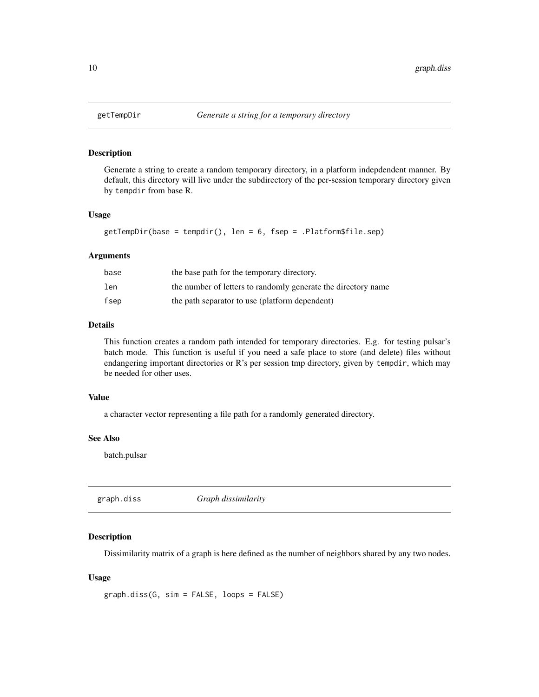Generate a string to create a random temporary directory, in a platform indepdendent manner. By default, this directory will live under the subdirectory of the per-session temporary directory given by tempdir from base R.

#### Usage

```
getTempDir(base = tempdir(), len = 6, fsep = .Platform$file.sep)
```
# Arguments

| base | the base path for the temporary directory.                    |
|------|---------------------------------------------------------------|
| len  | the number of letters to randomly generate the directory name |
| fsep | the path separator to use (platform dependent)                |

# Details

This function creates a random path intended for temporary directories. E.g. for testing pulsar's batch mode. This function is useful if you need a safe place to store (and delete) files without endangering important directories or R's per session tmp directory, given by tempdir, which may be needed for other uses.

#### Value

a character vector representing a file path for a randomly generated directory.

#### See Also

batch.pulsar

<span id="page-9-1"></span>

| graph.diss | Graph dissimilarity |  |
|------------|---------------------|--|
|------------|---------------------|--|

# Description

Dissimilarity matrix of a graph is here defined as the number of neighbors shared by any two nodes.

#### Usage

```
graph.diss(G, sim = FALSE, loops = FALSE)
```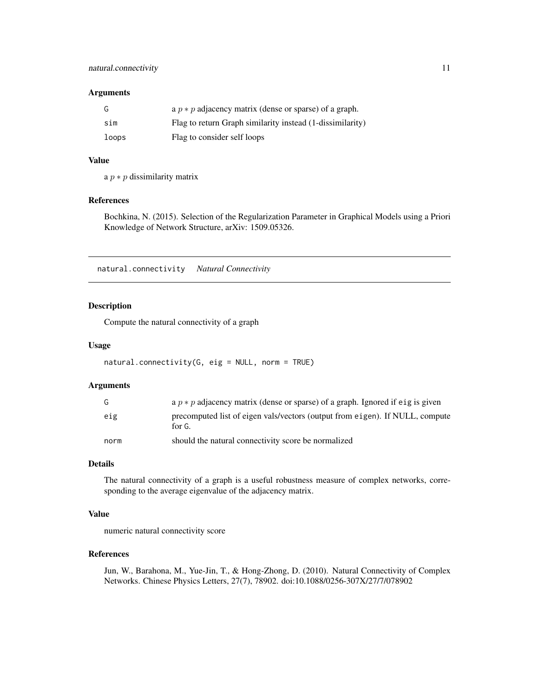#### <span id="page-10-0"></span>Arguments

|       | a $p * p$ adjacency matrix (dense or sparse) of a graph.  |
|-------|-----------------------------------------------------------|
| sim   | Flag to return Graph similarity instead (1-dissimilarity) |
| loops | Flag to consider self loops                               |

#### Value

a  $p * p$  dissimilarity matrix

### References

Bochkina, N. (2015). Selection of the Regularization Parameter in Graphical Models using a Priori Knowledge of Network Structure, arXiv: 1509.05326.

<span id="page-10-1"></span>natural.connectivity *Natural Connectivity*

# Description

Compute the natural connectivity of a graph

#### Usage

```
natural.connectivity(G, eig = NULL, norm = TRUE)
```
#### Arguments

|      | a $p * p$ adjacency matrix (dense or sparse) of a graph. Ignored if eig is given       |
|------|----------------------------------------------------------------------------------------|
| eig  | precomputed list of eigen vals/vectors (output from eigen). If NULL, compute<br>for G. |
| norm | should the natural connectivity score be normalized                                    |

# Details

The natural connectivity of a graph is a useful robustness measure of complex networks, corresponding to the average eigenvalue of the adjacency matrix.

# Value

numeric natural connectivity score

#### References

Jun, W., Barahona, M., Yue-Jin, T., & Hong-Zhong, D. (2010). Natural Connectivity of Complex Networks. Chinese Physics Letters, 27(7), 78902. doi:10.1088/0256-307X/27/7/078902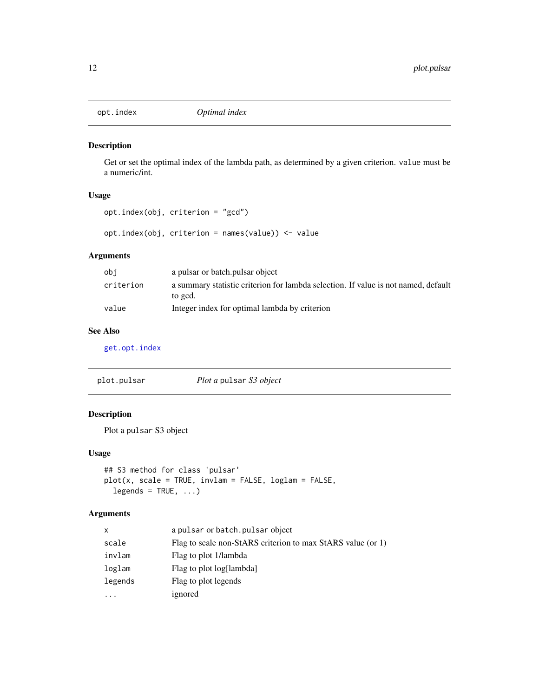<span id="page-11-1"></span><span id="page-11-0"></span>

Get or set the optimal index of the lambda path, as determined by a given criterion. value must be a numeric/int.

### Usage

opt.index(obj, criterion = "gcd")

opt.index(obj, criterion = names(value)) <- value

# Arguments

| obi       | a pulsar or batch pulsar object                                                    |
|-----------|------------------------------------------------------------------------------------|
| criterion | a summary statistic criterion for lambda selection. If value is not named, default |
|           | to gcd.                                                                            |
| value     | Integer index for optimal lambda by criterion                                      |

# See Also

[get.opt.index](#page-6-1)

| plot.pulsar | <i>Plot a pulsar S3 object</i> |
|-------------|--------------------------------|
|-------------|--------------------------------|

# Description

Plot a pulsar S3 object

# Usage

```
## S3 method for class 'pulsar'
plot(x, scale = TRUE, invlam = FALSE, loglam = FALSE,
 legends = TRUE, ...)
```

| x        | a pulsar or batch. pulsar object                            |
|----------|-------------------------------------------------------------|
| scale    | Flag to scale non-StARS criterion to max StARS value (or 1) |
| invlam   | Flag to plot 1/lambda                                       |
| loglam   | Flag to plot log[lambda]                                    |
| legends  | Flag to plot legends                                        |
| $\cdots$ | ignored                                                     |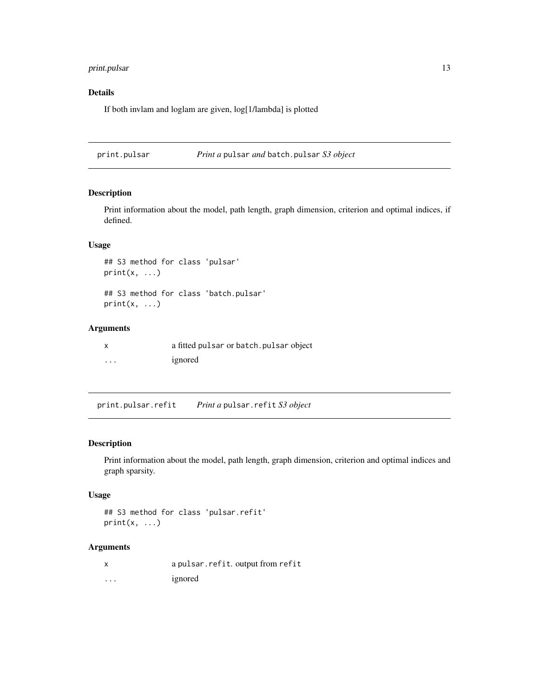# <span id="page-12-0"></span>print.pulsar 13

# Details

If both invlam and loglam are given, log[1/lambda] is plotted

print.pulsar *Print a* pulsar *and* batch.pulsar *S3 object*

# Description

Print information about the model, path length, graph dimension, criterion and optimal indices, if defined.

# Usage

```
## S3 method for class 'pulsar'
print(x, \ldots)
```
## S3 method for class 'batch.pulsar'  $print(x, \ldots)$ 

# Arguments

|          | a fitted pulsar or batch. pulsar object |
|----------|-----------------------------------------|
| $\cdots$ | ignored                                 |

print.pulsar.refit *Print a* pulsar.refit *S3 object*

# Description

Print information about the model, path length, graph dimension, criterion and optimal indices and graph sparsity.

# Usage

```
## S3 method for class 'pulsar.refit'
print(x, \ldots)
```

|                         | a pulsar.refit.output from refit |
|-------------------------|----------------------------------|
| $\cdot$ $\cdot$ $\cdot$ | ignored                          |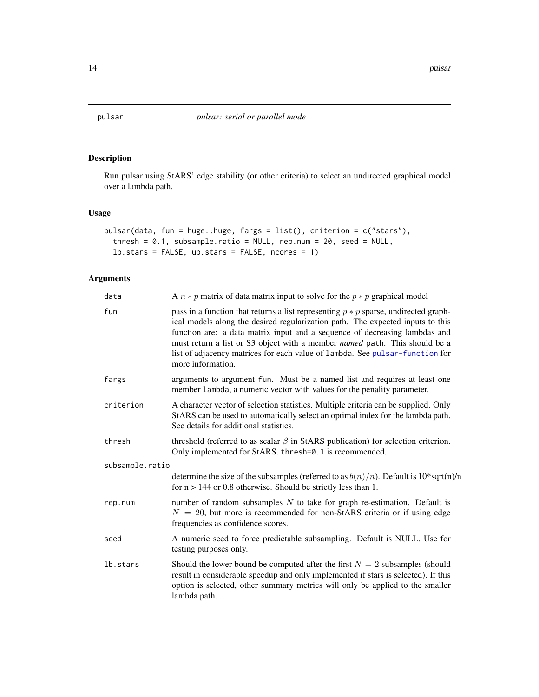<span id="page-13-1"></span><span id="page-13-0"></span>

Run pulsar using StARS' edge stability (or other criteria) to select an undirected graphical model over a lambda path.

# Usage

```
pulsar(data, fun = huge::huge, fargs = list(), criterion = c("stars"),
  thresh = 0.1, subsample.ratio = NULL, rep.num = 20, seed = NULL,
  lb.stars = FALSE, ub.stars = FALSE, ncores = 1)
```

| data            | A $n * p$ matrix of data matrix input to solve for the $p * p$ graphical model                                                                                                                                                                                                                                                                                                                                                           |
|-----------------|------------------------------------------------------------------------------------------------------------------------------------------------------------------------------------------------------------------------------------------------------------------------------------------------------------------------------------------------------------------------------------------------------------------------------------------|
| fun             | pass in a function that returns a list representing $p * p$ sparse, undirected graph-<br>ical models along the desired regularization path. The expected inputs to this<br>function are: a data matrix input and a sequence of decreasing lambdas and<br>must return a list or S3 object with a member named path. This should be a<br>list of adjacency matrices for each value of lambda. See pulsar-function for<br>more information. |
| fargs           | arguments to argument fun. Must be a named list and requires at least one<br>member lambda, a numeric vector with values for the penality parameter.                                                                                                                                                                                                                                                                                     |
| criterion       | A character vector of selection statistics. Multiple criteria can be supplied. Only<br>StARS can be used to automatically select an optimal index for the lambda path.<br>See details for additional statistics.                                                                                                                                                                                                                         |
| thresh          | threshold (referred to as scalar $\beta$ in StARS publication) for selection criterion.<br>Only implemented for StARS. thresh=0.1 is recommended.                                                                                                                                                                                                                                                                                        |
| subsample.ratio |                                                                                                                                                                                                                                                                                                                                                                                                                                          |
|                 | determine the size of the subsamples (referred to as $b(n)/n$ ). Default is 10*sqrt(n)/n<br>for $n > 144$ or 0.8 otherwise. Should be strictly less than 1.                                                                                                                                                                                                                                                                              |
| rep.num         | number of random subsamples $N$ to take for graph re-estimation. Default is<br>$N = 20$ , but more is recommended for non-StARS criteria or if using edge<br>frequencies as confidence scores.                                                                                                                                                                                                                                           |
| seed            | A numeric seed to force predictable subsampling. Default is NULL. Use for<br>testing purposes only.                                                                                                                                                                                                                                                                                                                                      |
| lb.stars        | Should the lower bound be computed after the first $N = 2$ subsamples (should<br>result in considerable speedup and only implemented if stars is selected). If this<br>option is selected, other summary metrics will only be applied to the smaller<br>lambda path.                                                                                                                                                                     |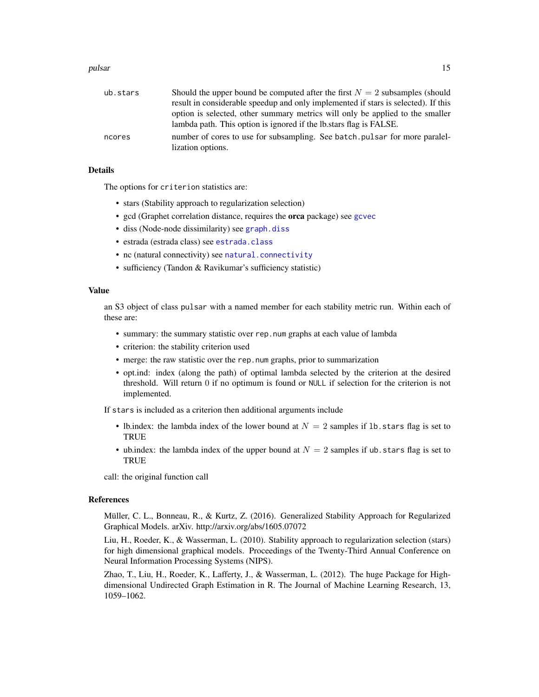#### <span id="page-14-0"></span>pulsar the contract of the contract of the contract of the contract of the contract of the contract of the contract of the contract of the contract of the contract of the contract of the contract of the contract of the con

| ub.stars | Should the upper bound be computed after the first $N = 2$ subsamples (should      |
|----------|------------------------------------------------------------------------------------|
|          | result in considerable speedup and only implemented if stars is selected). If this |
|          | option is selected, other summary metrics will only be applied to the smaller      |
|          | lambda path. This option is ignored if the lb. stars flag is FALSE.                |
| ncores   | number of cores to use for subsampling. See batch.pulsar for more paralel-         |
|          | lization options.                                                                  |

# Details

The options for criterion statistics are:

- stars (Stability approach to regularization selection)
- gcd (Graphet correlation distance, requires the orca package) see [gcvec](#page-5-2)
- diss (Node-node dissimilarity) see [graph.diss](#page-9-1)
- estrada (estrada class) see [estrada.class](#page-5-1)
- nc (natural connectivity) see [natural.connectivity](#page-10-1)
- sufficiency (Tandon & Ravikumar's sufficiency statistic)

#### Value

an S3 object of class pulsar with a named member for each stability metric run. Within each of these are:

- summary: the summary statistic over rep.num graphs at each value of lambda
- criterion: the stability criterion used
- merge: the raw statistic over the rep.num graphs, prior to summarization
- opt.ind: index (along the path) of optimal lambda selected by the criterion at the desired threshold. Will return 0 if no optimum is found or NULL if selection for the criterion is not implemented.

If stars is included as a criterion then additional arguments include

- lb.index: the lambda index of the lower bound at  $N = 2$  samples if 1b. stars flag is set to **TRUE**
- ub.index: the lambda index of the upper bound at  $N = 2$  samples if ub. stars flag is set to TRUE

call: the original function call

#### References

Müller, C. L., Bonneau, R., & Kurtz, Z. (2016). Generalized Stability Approach for Regularized Graphical Models. arXiv. http://arxiv.org/abs/1605.07072

Liu, H., Roeder, K., & Wasserman, L. (2010). Stability approach to regularization selection (stars) for high dimensional graphical models. Proceedings of the Twenty-Third Annual Conference on Neural Information Processing Systems (NIPS).

Zhao, T., Liu, H., Roeder, K., Lafferty, J., & Wasserman, L. (2012). The huge Package for Highdimensional Undirected Graph Estimation in R. The Journal of Machine Learning Research, 13, 1059–1062.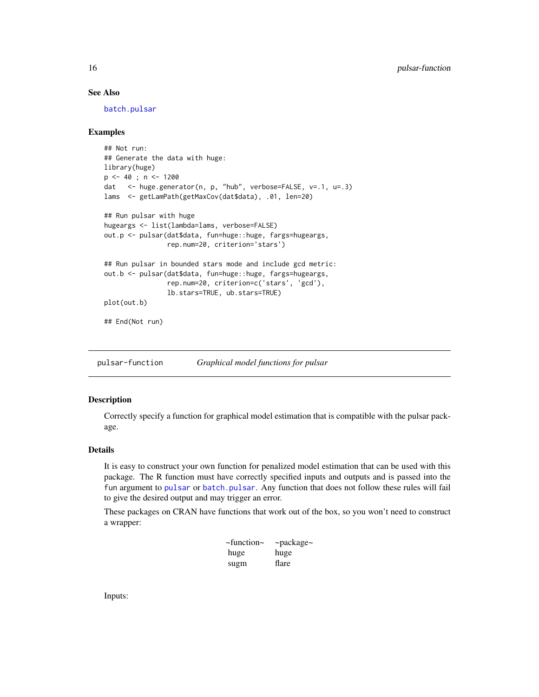# See Also

[batch.pulsar](#page-2-1)

#### Examples

```
## Not run:
## Generate the data with huge:
library(huge)
p <- 40 ; n <- 1200
dat <- huge.generator(n, p, "hub", verbose=FALSE, v=.1, u=.3)
lams <- getLamPath(getMaxCov(dat$data), .01, len=20)
## Run pulsar with huge
hugeargs <- list(lambda=lams, verbose=FALSE)
out.p <- pulsar(dat$data, fun=huge::huge, fargs=hugeargs,
                rep.num=20, criterion='stars')
## Run pulsar in bounded stars mode and include gcd metric:
out.b <- pulsar(dat$data, fun=huge::huge, fargs=hugeargs,
                rep.num=20, criterion=c('stars', 'gcd'),
                lb.stars=TRUE, ub.stars=TRUE)
plot(out.b)
## End(Not run)
```
<span id="page-15-1"></span>pulsar-function *Graphical model functions for pulsar*

# Description

Correctly specify a function for graphical model estimation that is compatible with the pulsar package.

# Details

It is easy to construct your own function for penalized model estimation that can be used with this package. The R function must have correctly specified inputs and outputs and is passed into the fun argument to [pulsar](#page-13-1) or [batch.pulsar](#page-2-1). Any function that does not follow these rules will fail to give the desired output and may trigger an error.

These packages on CRAN have functions that work out of the box, so you won't need to construct a wrapper:

| $\sim$ function $\sim$ | $\sim$ package $\sim$ |
|------------------------|-----------------------|
| huge                   | huge                  |
| sugm                   | flare                 |

Inputs:

<span id="page-15-0"></span>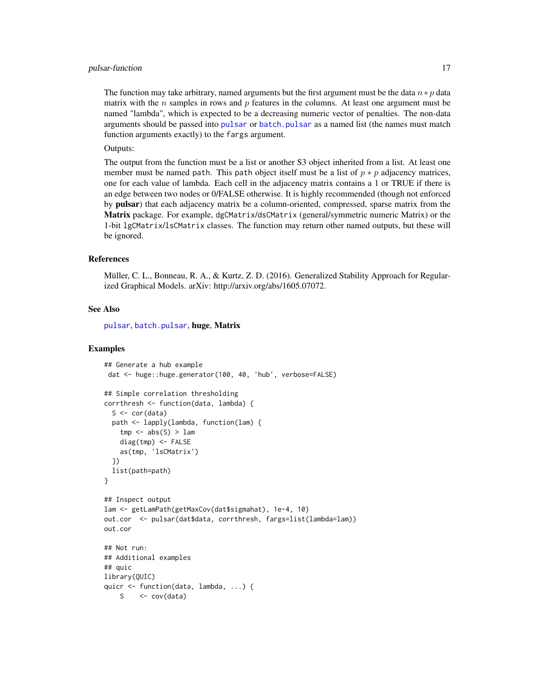#### <span id="page-16-0"></span>pulsar-function 17

The function may take arbitrary, named arguments but the first argument must be the data  $n * p$  data matrix with the n samples in rows and  $p$  features in the columns. At least one argument must be named "lambda", which is expected to be a decreasing numeric vector of penalties. The non-data arguments should be passed into [pulsar](#page-13-1) or [batch.pulsar](#page-2-1) as a named list (the names must match function arguments exactly) to the fargs argument.

Outputs:

The output from the function must be a list or another S3 object inherited from a list. At least one member must be named path. This path object itself must be a list of  $p * p$  adjacency matrices, one for each value of lambda. Each cell in the adjacency matrix contains a 1 or TRUE if there is an edge between two nodes or 0/FALSE otherwise. It is highly recommended (though not enforced by **pulsar**) that each adjacency matrix be a column-oriented, compressed, sparse matrix from the Matrix package. For example, dgCMatrix/dsCMatrix (general/symmetric numeric Matrix) or the 1-bit lgCMatrix/lsCMatrix classes. The function may return other named outputs, but these will be ignored.

#### References

Müller, C. L., Bonneau, R. A., & Kurtz, Z. D. (2016). Generalized Stability Approach for Regularized Graphical Models. arXiv: http://arxiv.org/abs/1605.07072.

#### See Also

[pulsar](#page-13-1), [batch.pulsar](#page-2-1), huge, Matrix

#### Examples

```
## Generate a hub example
dat <- huge::huge.generator(100, 40, 'hub', verbose=FALSE)
## Simple correlation thresholding
corrthresh <- function(data, lambda) {
 S \leftarrow cor(data)path <- lapply(lambda, function(lam) {
    tmp \leq abs(S) > lamdiag(tmp) <- FALSE
   as(tmp, 'lsCMatrix')
 })
 list(path=path)
}
## Inspect output
lam <- getLamPath(getMaxCov(dat$sigmahat), 1e-4, 10)
out.cor <- pulsar(dat$data, corrthresh, fargs=list(lambda=lam))
out.cor
## Not run:
## Additional examples
## quic
library(QUIC)
quicr <- function(data, lambda, ...) {
   S \leftarrow cov(data)
```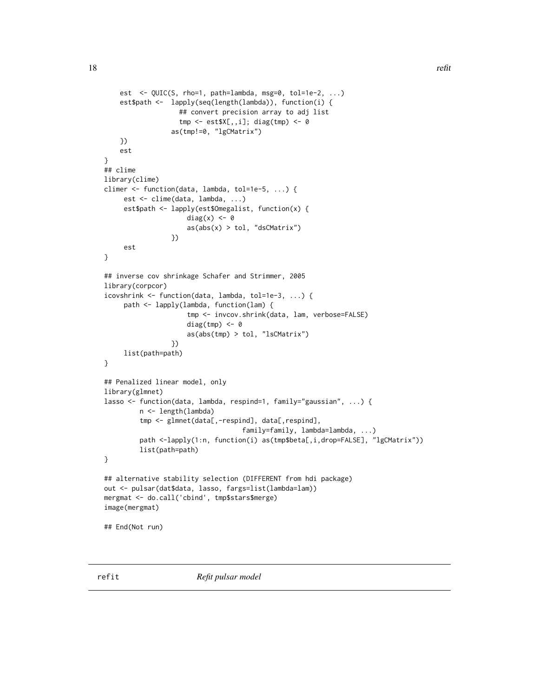```
est \leq QUIC(S, rho=1, path=lambda, msg=0, tol=1e-2, ...)
    est$path <- lapply(seq(length(lambda)), function(i) {
                   ## convert precision array to adj list
                   tmp \leftarrow est$X[, i]; diag(tmp) < -0as(tmp!=0, "lgCMatrix")
    })
    est
}
## clime
library(clime)
climer <- function(data, lambda, tol=1e-5, ...) {
     est <- clime(data, lambda, ...)
     est$path <- lapply(est$Omegalist, function(x) {
                     diag(x) <- 0
                     as(abs(x) > tol, "dsCMatrix")
                 })
     est
}
## inverse cov shrinkage Schafer and Strimmer, 2005
library(corpcor)
icovshrink <- function(data, lambda, tol=1e-3, ...) {
     path <- lapply(lambda, function(lam) {
                     tmp <- invcov.shrink(data, lam, verbose=FALSE)
                     diag(tmp) <-0as(abs(tmp) > tol, "lsCMatrix")
                 })
     list(path=path)
}
## Penalized linear model, only
library(glmnet)
lasso <- function(data, lambda, respind=1, family="gaussian", ...) {
         n <- length(lambda)
         tmp <- glmnet(data[,-respind], data[,respind],
                                   family=family, lambda=lambda, ...)
         path <-lapply(1:n, function(i) as(tmp$beta[,i,drop=FALSE], "lgCMatrix"))
         list(path=path)
}
## alternative stability selection (DIFFERENT from hdi package)
out <- pulsar(dat$data, lasso, fargs=list(lambda=lam))
mergmat <- do.call('cbind', tmp$stars$merge)
image(mergmat)
## End(Not run)
```
<span id="page-17-1"></span>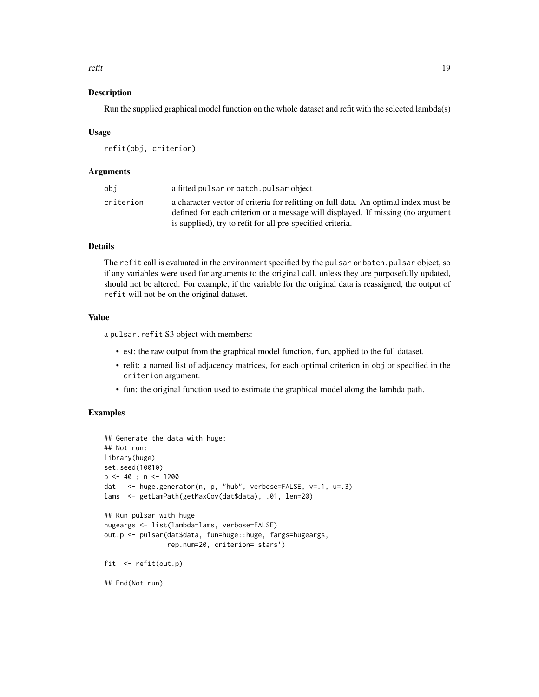refit that the contract of the contract of the contract of the contract of the contract of the contract of the contract of the contract of the contract of the contract of the contract of the contract of the contract of the

#### Description

Run the supplied graphical model function on the whole dataset and refit with the selected lambda(s)

#### Usage

refit(obj, criterion)

# Arguments

| obi       | a fitted pulsar or batch. pulsar object                                                                                                                                |
|-----------|------------------------------------------------------------------------------------------------------------------------------------------------------------------------|
| criterion | a character vector of criteria for refitting on full data. An optimal index must be<br>defined for each criterion or a message will displayed. If missing (no argument |
|           | is supplied), try to refit for all pre-specified criteria.                                                                                                             |

# Details

The refit call is evaluated in the environment specified by the pulsar or batch.pulsar object, so if any variables were used for arguments to the original call, unless they are purposefully updated, should not be altered. For example, if the variable for the original data is reassigned, the output of refit will not be on the original dataset.

#### Value

a pulsar.refit S3 object with members:

- est: the raw output from the graphical model function, fun, applied to the full dataset.
- refit: a named list of adjacency matrices, for each optimal criterion in obj or specified in the criterion argument.
- fun: the original function used to estimate the graphical model along the lambda path.

# Examples

```
## Generate the data with huge:
## Not run:
library(huge)
set.seed(10010)
p \le -40; n \le -1200dat <- huge.generator(n, p, "hub", verbose=FALSE, v=.1, u=.3)
lams <- getLamPath(getMaxCov(dat$data), .01, len=20)
## Run pulsar with huge
hugeargs <- list(lambda=lams, verbose=FALSE)
out.p <- pulsar(dat$data, fun=huge::huge, fargs=hugeargs,
               rep.num=20, criterion='stars')
fit <- refit(out.p)
## End(Not run)
```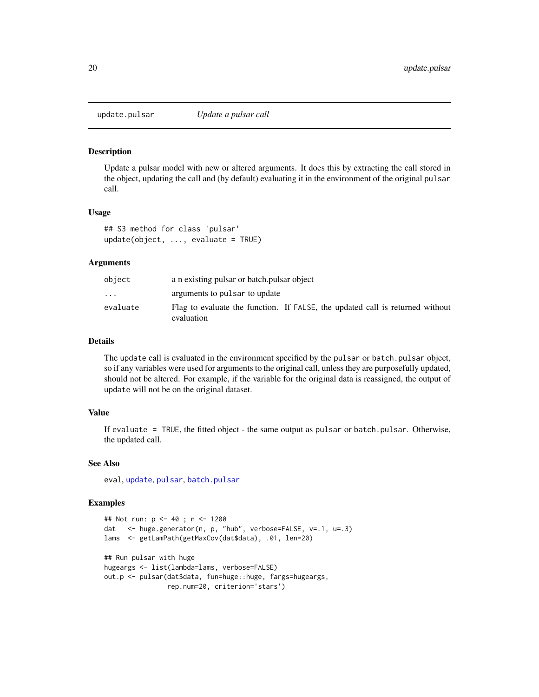<span id="page-19-0"></span>

Update a pulsar model with new or altered arguments. It does this by extracting the call stored in the object, updating the call and (by default) evaluating it in the environment of the original pulsar call.

#### Usage

```
## S3 method for class 'pulsar'
update(object, ..., evaluate = TRUE)
```
#### Arguments

| object    | a n existing pulsar or batch pulsar object                                                  |
|-----------|---------------------------------------------------------------------------------------------|
| $\ddotsc$ | arguments to pulsar to update                                                               |
| evaluate  | Flag to evaluate the function. If FALSE, the updated call is returned without<br>evaluation |

#### Details

The update call is evaluated in the environment specified by the pulsar or batch.pulsar object, so if any variables were used for arguments to the original call, unless they are purposefully updated, should not be altered. For example, if the variable for the original data is reassigned, the output of update will not be on the original dataset.

# Value

If evaluate = TRUE, the fitted object - the same output as pulsar or batch.pulsar. Otherwise, the updated call.

#### See Also

eval, [update](#page-0-0), [pulsar](#page-13-1), [batch.pulsar](#page-2-1)

#### Examples

```
## Not run: p <- 40 ; n <- 1200
dat <- huge.generator(n, p, "hub", verbose=FALSE, v=.1, u=.3)
lams <- getLamPath(getMaxCov(dat$data), .01, len=20)
## Run pulsar with huge
hugeargs <- list(lambda=lams, verbose=FALSE)
out.p <- pulsar(dat$data, fun=huge::huge, fargs=hugeargs,
               rep.num=20, criterion='stars')
```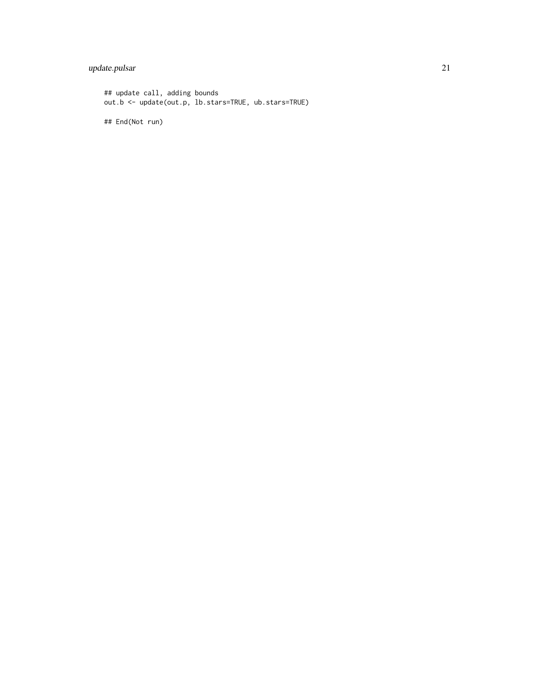# update.pulsar 21

## update call, adding bounds out.b <- update(out.p, lb.stars=TRUE, ub.stars=TRUE) ## End(Not run)